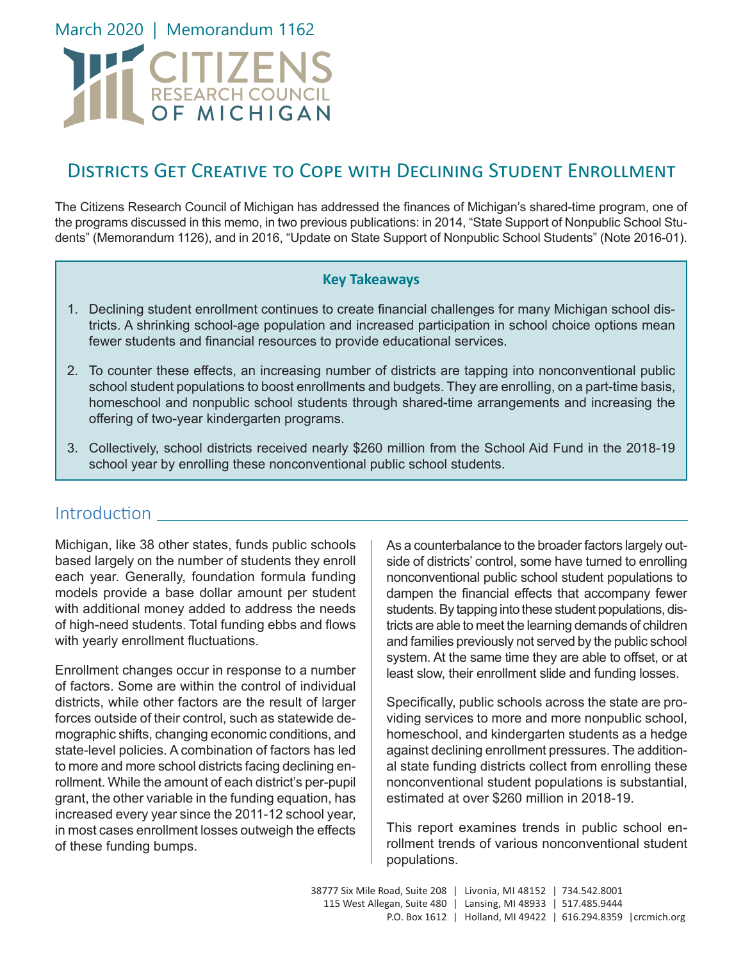March 2020 | Memorandum 1162

# CITIZENS

# Districts Get Creative to Cope with Declining Student Enrollment

The Citizens Research Council of Michigan has addressed the finances of Michigan's shared-time program, one of the programs discussed in this memo, in two previous publications: in 2014, "State Support of Nonpublic School Students" (Memorandum 1126), and in 2016, "Update on State Support of Nonpublic School Students" (Note 2016-01).

#### **Key Takeaways**

- 1. Declining student enrollment continues to create financial challenges for many Michigan school districts. A shrinking school-age population and increased participation in school choice options mean fewer students and financial resources to provide educational services.
- 2. To counter these effects, an increasing number of districts are tapping into nonconventional public school student populations to boost enrollments and budgets. They are enrolling, on a part-time basis, homeschool and nonpublic school students through shared-time arrangements and increasing the offering of two-year kindergarten programs.
- 3. Collectively, school districts received nearly \$260 million from the School Aid Fund in the 2018-19 school year by enrolling these nonconventional public school students.

#### **Introduction**

Michigan, like 38 other states, funds public schools based largely on the number of students they enroll each year. Generally, foundation formula funding models provide a base dollar amount per student with additional money added to address the needs of high-need students. Total funding ebbs and flows with yearly enrollment fluctuations.

Enrollment changes occur in response to a number of factors. Some are within the control of individual districts, while other factors are the result of larger forces outside of their control, such as statewide demographic shifts, changing economic conditions, and state-level policies. A combination of factors has led to more and more school districts facing declining enrollment. While the amount of each district's per-pupil grant, the other variable in the funding equation, has increased every year since the 2011-12 school year, in most cases enrollment losses outweigh the effects of these funding bumps.

As a counterbalance to the broader factors largely outside of districts' control, some have turned to enrolling nonconventional public school student populations to dampen the financial effects that accompany fewer students. By tapping into these student populations, districts are able to meet the learning demands of children and families previously not served by the public school system. At the same time they are able to offset, or at least slow, their enrollment slide and funding losses.

Specifically, public schools across the state are providing services to more and more nonpublic school, homeschool, and kindergarten students as a hedge against declining enrollment pressures. The additional state funding districts collect from enrolling these nonconventional student populations is substantial, estimated at over \$260 million in 2018-19.

This report examines trends in public school enrollment trends of various nonconventional student populations.

38777 Six Mile Road, Suite 208 | Livonia, MI 48152 | 734.542.8001 115 West Allegan, Suite 480 | Lansing, MI 48933 | 517.485.9444 P.O. Box 1612 | Holland, MI 49422 | 616.294.8359 |crcmich.org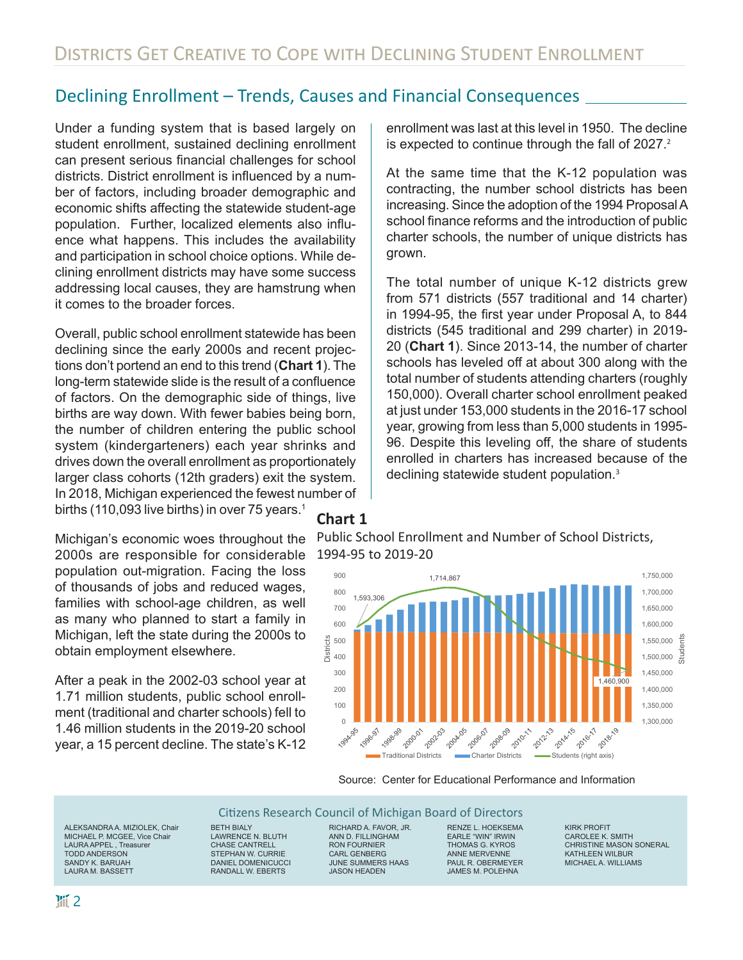#### Declining Enrollment – Trends, Causes and Financial Consequences

Under a funding system that is based largely on student enrollment, sustained declining enrollment can present serious financial challenges for school districts. District enrollment is influenced by a number of factors, including broader demographic and economic shifts affecting the statewide student-age population. Further, localized elements also influence what happens. This includes the availability and participation in school choice options. While declining enrollment districts may have some success addressing local causes, they are hamstrung when it comes to the broader forces.

Overall, public school enrollment statewide has been declining since the early 2000s and recent projections don't portend an end to this trend (**Chart 1**). The long-term statewide slide is the result of a confluence of factors. On the demographic side of things, live births are way down. With fewer babies being born, the number of children entering the public school system (kindergarteners) each year shrinks and drives down the overall enrollment as proportionately larger class cohorts (12th graders) exit the system. In 2018, Michigan experienced the fewest number of births (110,093 live births) in over 75 years.<sup>1</sup>

Michigan's economic woes throughout the 2000s are responsible for considerable population out-migration. Facing the loss of thousands of jobs and reduced wages, families with school-age children, as well as many who planned to start a family in Michigan, left the state during the 2000s to obtain employment elsewhere.

After a peak in the 2002-03 school year at 1.71 million students, public school enrollment (traditional and charter schools) fell to 1.46 million students in the 2019-20 school year, a 15 percent decline. The state's K-12 enrollment was last at this level in 1950. The decline is expected to continue through the fall of 2027.<sup>2</sup>

At the same time that the K-12 population was contracting, the number school districts has been increasing. Since the adoption of the 1994 Proposal A school finance reforms and the introduction of public charter schools, the number of unique districts has grown.

The total number of unique K-12 districts grew from 571 districts (557 traditional and 14 charter) in 1994-95, the first year under Proposal A, to 844 districts (545 traditional and 299 charter) in 2019- 20 (**Chart 1**). Since 2013-14, the number of charter schools has leveled off at about 300 along with the total number of students attending charters (roughly 150,000). Overall charter school enrollment peaked at just under 153,000 students in the 2016-17 school year, growing from less than 5,000 students in 1995- 96. Despite this leveling off, the share of students enrolled in charters has increased because of the declining statewide student population.<sup>3</sup>

#### **Chart 1**

Public School Enrollment and Number of School Districts, 1994-95 to 2019-20



#### Source: Center for Educational Performance and Information

#### Citizens Research Council of Michigan Board of Directors

ALEKSANDRA A. MIZIOLEK, Chair MICHAEL P. MCGEE, Vice Chair LAURA APPEL , Treasurer TODD ANDERSON SANDY K. BARUAH LAURA M. BASSETT

BETH BIALY LAWRENCE N. BLUTH CHASE CANTRELL STEPHAN W. CURRIE DANIEL DOMENICUCCI RANDALL W. EBERTS

RICHARD A. FAVOR, JR. ANN D. FILLINGHAM RON FOURNIER CARL GENBERG JUNE SUMMERS HAAS JASON HEADEN

RENZE L. HOEKSEMA EARLE "WIN" IRWIN THOMAS G. KYROS ANNE MERVENNE PAUL R OBERMEYER JAMES M. POLEHNA

KIRK PROFIT CAROLEE K. SMITH CHRISTINE MASON SONERAL KATHLEEN WILBUR MICHAEL A. WILLIAMS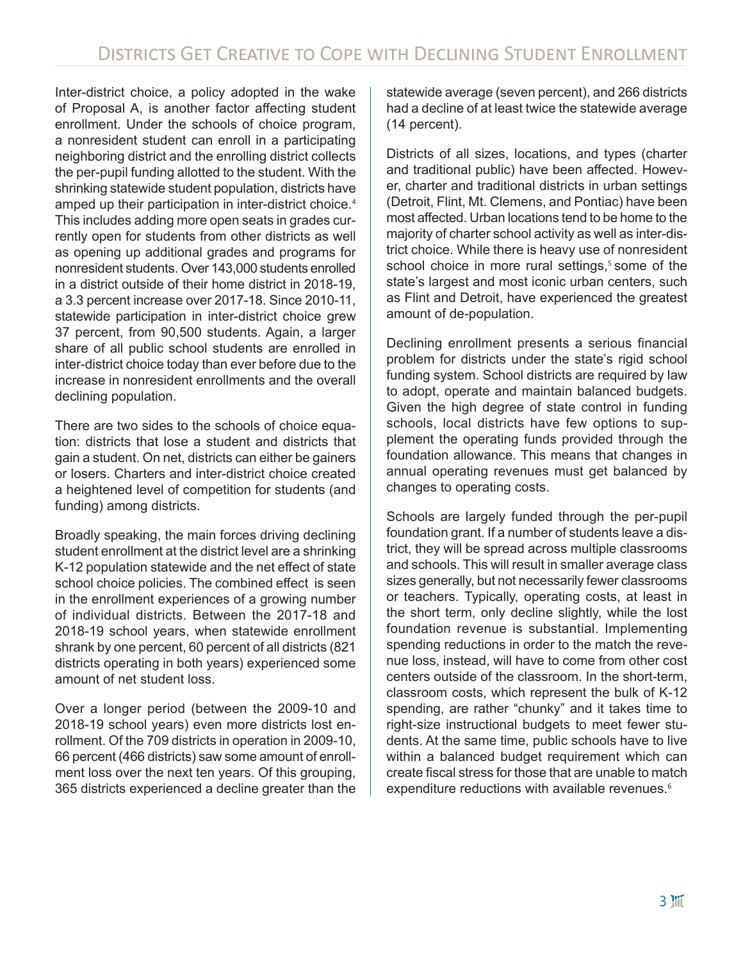Inter-district choice, a policy adopted in the wake of Proposal A, is another factor affecting student enrollment. Under the schools of choice program, a nonresident student can enroll in a participating neighboring district and the enrolling district collects the per-pupil funding allotted to the student. With the shrinking statewide student population, districts have amped up their participation in inter-district choice.<sup>4</sup> This includes adding more open seats in grades currently open for students from other districts as well as opening up additional grades and programs for nonresident students. Over 143,000 students enrolled in a district outside of their home district in 2018-19, a 3.3 percent increase over 2017-18. Since 2010-11, statewide participation in inter-district choice grew 37 percent, from 90,500 students. Again, a larger share of all public school students are enrolled in inter-district choice today than ever before due to the increase in nonresident enrollments and the overall declining population.

There are two sides to the schools of choice equation: districts that lose a student and districts that gain a student. On net, districts can either be gainers or losers. Charters and inter-district choice created a heightened level of competition for students (and funding) among districts.

Broadly speaking, the main forces driving declining student enrollment at the district level are a shrinking K-12 population statewide and the net effect of state school choice policies. The combined effect is seen in the enrollment experiences of a growing number of individual districts. Between the 2017-18 and 2018-19 school years, when statewide enrollment shrank by one percent, 60 percent of all districts (821 districts operating in both years) experienced some amount of net student loss.

Over a longer period (between the 2009-10 and 2018-19 school years) even more districts lost enrollment. Of the 709 districts in operation in 2009-10, 66 percent (466 districts) saw some amount of enrollment loss over the next ten years. Of this grouping, 365 districts experienced a decline greater than the statewide average (seven percent), and 266 districts had a decline of at least twice the statewide average (14 percent).

Districts of all sizes, locations, and types (charter and traditional public) have been affected. However, charter and traditional districts in urban settings (Detroit, Flint, Mt. Clemens, and Pontiac) have been most affected. Urban locations tend to be home to the majority of charter school activity as well as inter-district choice. While there is heavy use of nonresident school choice in more rural settings,<sup>5</sup> some of the state's largest and most iconic urban centers, such as Flint and Detroit, have experienced the greatest amount of de-population.

Declining enrollment presents a serious financial problem for districts under the state's rigid school funding system. School districts are required by law to adopt, operate and maintain balanced budgets. Given the high degree of state control in funding schools, local districts have few options to supplement the operating funds provided through the foundation allowance. This means that changes in annual operating revenues must get balanced by changes to operating costs.

Schools are largely funded through the per-pupil foundation grant. If a number of students leave a district, they will be spread across multiple classrooms and schools. This will result in smaller average class sizes generally, but not necessarily fewer classrooms or teachers. Typically, operating costs, at least in the short term, only decline slightly, while the lost foundation revenue is substantial. Implementing spending reductions in order to the match the revenue loss, instead, will have to come from other cost centers outside of the classroom. In the short-term, classroom costs, which represent the bulk of K-12 spending, are rather "chunky" and it takes time to right-size instructional budgets to meet fewer students. At the same time, public schools have to live within a balanced budget requirement which can create fiscal stress for those that are unable to match expenditure reductions with available revenues.<sup>6</sup>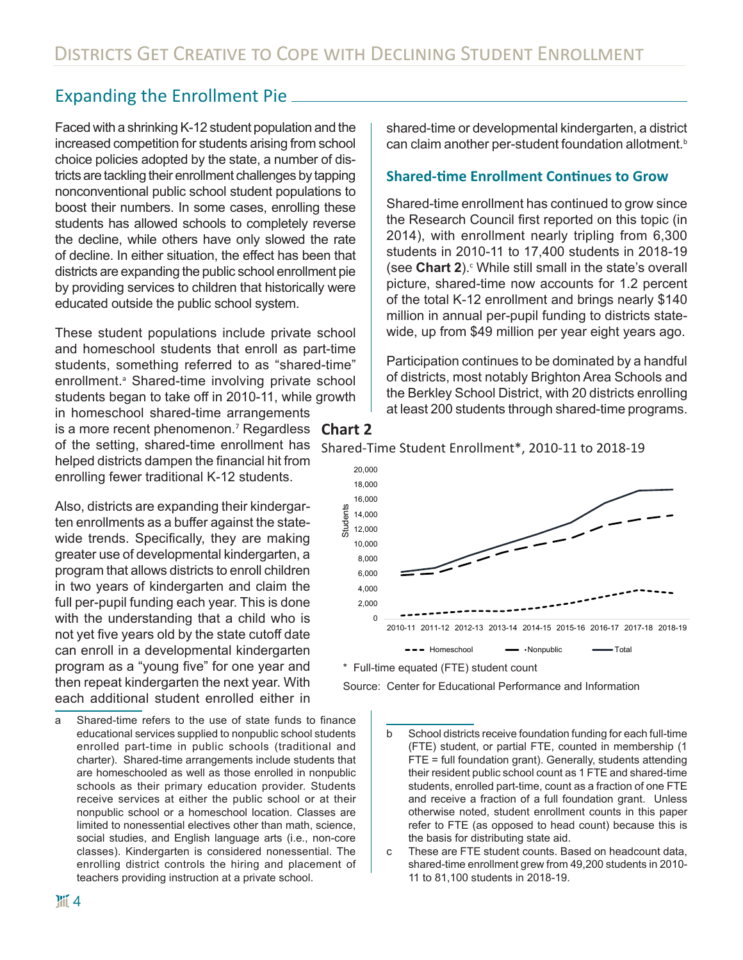## Expanding the Enrollment Pie

Faced with a shrinking K-12 student population and the increased competition for students arising from school choice policies adopted by the state, a number of districts are tackling their enrollment challenges by tapping nonconventional public school student populations to boost their numbers. In some cases, enrolling these students has allowed schools to completely reverse the decline, while others have only slowed the rate of decline. In either situation, the effect has been that districts are expanding the public school enrollment pie by providing services to children that historically were educated outside the public school system.

These student populations include private school and homeschool students that enroll as part-time students, something referred to as "shared-time" enrollment.<sup>a</sup> Shared-time involving private school students began to take off in 2010-11, while growth in homeschool shared-time arrangements is a more recent phenomenon.<sup>7</sup> Regardless **Chart 2** of the setting, shared-time enrollment has helped districts dampen the financial hit from enrolling fewer traditional K-12 students.

Also, districts are expanding their kindergarten enrollments as a buffer against the statewide trends. Specifically, they are making greater use of developmental kindergarten, a program that allows districts to enroll children in two years of kindergarten and claim the full per-pupil funding each year. This is done with the understanding that a child who is not yet five years old by the state cutoff date can enroll in a developmental kindergarten program as a "young five" for one year and then repeat kindergarten the next year. With each additional student enrolled either in

a Shared-time refers to the use of state funds to finance educational services supplied to nonpublic school students enrolled part-time in public schools (traditional and charter). Shared-time arrangements include students that are homeschooled as well as those enrolled in nonpublic schools as their primary education provider. Students receive services at either the public school or at their nonpublic school or a homeschool location. Classes are limited to nonessential electives other than math, science, social studies, and English language arts (i.e., non-core classes). Kindergarten is considered nonessential. The enrolling district controls the hiring and placement of teachers providing instruction at a private school.

shared-time or developmental kindergarten, a district can claim another per-student foundation allotment.<sup>b</sup>

#### **Shared-time Enrollment Continues to Grow**

Shared-time enrollment has continued to grow since the Research Council first reported on this topic (in 2014), with enrollment nearly tripling from 6,300 students in 2010-11 to 17,400 students in 2018-19 (see Chart 2).<sup>c</sup> While still small in the state's overall picture, shared-time now accounts for 1.2 percent of the total K-12 enrollment and brings nearly \$140 million in annual per-pupil funding to districts statewide, up from \$49 million per year eight years ago.

Participation continues to be dominated by a handful of districts, most notably Brighton Area Schools and the Berkley School District, with 20 districts enrolling at least 200 students through shared-time programs.



\* Full-time equated (FTE) student count

Source: Center for Educational Performance and Information

- b School districts receive foundation funding for each full-time (FTE) student, or partial FTE, counted in membership (1 FTE = full foundation grant). Generally, students attending their resident public school count as 1 FTE and shared-time students, enrolled part-time, count as a fraction of one FTE and receive a fraction of a full foundation grant. Unless otherwise noted, student enrollment counts in this paper refer to FTE (as opposed to head count) because this is the basis for distributing state aid.
- c These are FTE student counts. Based on headcount data, shared-time enrollment grew from 49,200 students in 2010- 11 to 81,100 students in 2018-19.

#### Shared-Time Student Enrollment\*, 2010-11 to 2018-19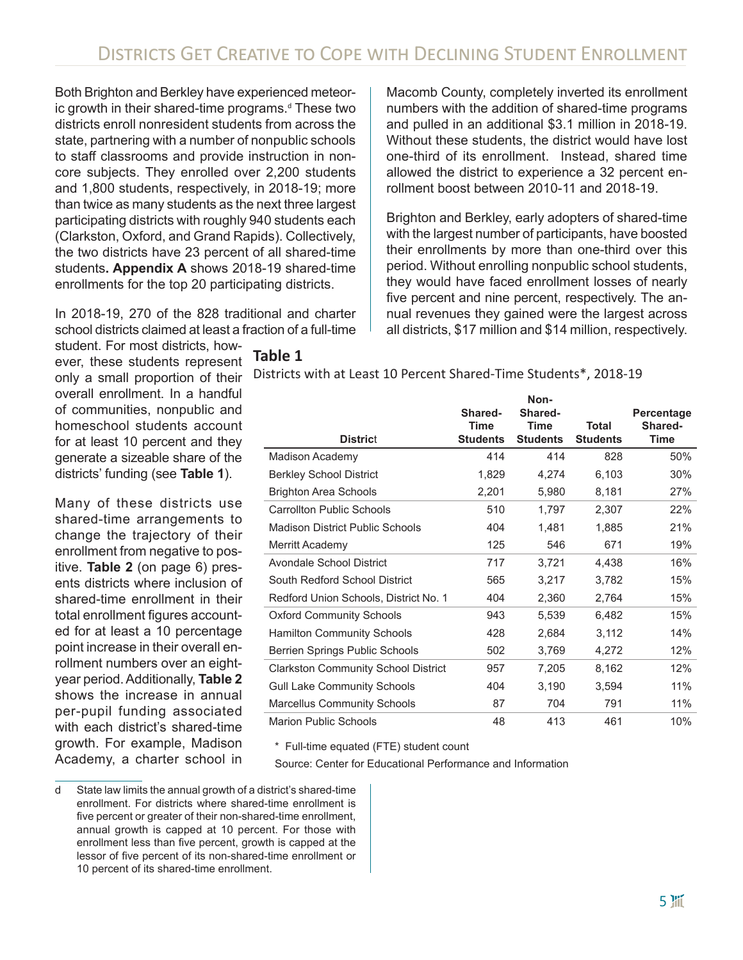Both Brighton and Berkley have experienced meteoric growth in their shared-time programs.<sup>d</sup> These two districts enroll nonresident students from across the state, partnering with a number of nonpublic schools to staff classrooms and provide instruction in noncore subjects. They enrolled over 2,200 students and 1,800 students, respectively, in 2018-19; more than twice as many students as the next three largest participating districts with roughly 940 students each (Clarkston, Oxford, and Grand Rapids). Collectively, the two districts have 23 percent of all shared-time students**. Appendix A** shows 2018-19 shared-time enrollments for the top 20 participating districts.

In 2018-19, 270 of the 828 traditional and charter school districts claimed at least a fraction of a full-time Macomb County, completely inverted its enrollment numbers with the addition of shared-time programs and pulled in an additional \$3.1 million in 2018-19. Without these students, the district would have lost one-third of its enrollment. Instead, shared time allowed the district to experience a 32 percent enrollment boost between 2010-11 and 2018-19.

Brighton and Berkley, early adopters of shared-time with the largest number of participants, have boosted their enrollments by more than one-third over this period. Without enrolling nonpublic school students, they would have faced enrollment losses of nearly five percent and nine percent, respectively. The annual revenues they gained were the largest across all districts, \$17 million and \$14 million, respectively.

student. For most districts, however, these students represent only a small proportion of their overall enrollment. In a handful of communities, nonpublic and homeschool students account for at least 10 percent and they generate a sizeable share of the districts' funding (see **Table 1**).

Many of these districts use shared-time arrangements to change the trajectory of their enrollment from negative to positive. **Table 2** (on page 6) presents districts where inclusion of shared-time enrollment in their total enrollment figures accounted for at least a 10 percentage point increase in their overall enrollment numbers over an eightyear period. Additionally, **Table 2** shows the increase in annual per-pupil funding associated with each district's shared-time growth. For example, Madison Academy, a charter school in **Table 1**

Districts with at Least 10 Percent Shared-Time Students\*, 2018-19

| <b>District</b>                            | Shared-<br>Time<br><b>Students</b> | Non-<br>Shared-<br><b>Time</b><br><b>Students</b> | Total<br><b>Students</b> | Percentage<br>Shared-<br><b>Time</b> |
|--------------------------------------------|------------------------------------|---------------------------------------------------|--------------------------|--------------------------------------|
| Madison Academy                            | 414                                | 414                                               | 828                      | 50%                                  |
| <b>Berkley School District</b>             | 1,829                              | 4,274                                             | 6,103                    | 30%                                  |
| <b>Brighton Area Schools</b>               | 2,201                              | 5,980                                             | 8,181                    | 27%                                  |
| <b>Carrollton Public Schools</b>           | 510                                | 1,797                                             | 2,307                    | 22%                                  |
| <b>Madison District Public Schools</b>     | 404                                | 1,481                                             | 1,885                    | 21%                                  |
| Merritt Academy                            | 125                                | 546                                               | 671                      | 19%                                  |
| Avondale School District                   | 717                                | 3,721                                             | 4,438                    | 16%                                  |
| South Redford School District              | 565                                | 3,217                                             | 3,782                    | 15%                                  |
| Redford Union Schools, District No. 1      | 404                                | 2,360                                             | 2,764                    | 15%                                  |
| <b>Oxford Community Schools</b>            | 943                                | 5,539                                             | 6,482                    | 15%                                  |
| <b>Hamilton Community Schools</b>          | 428                                | 2,684                                             | 3,112                    | 14%                                  |
| Berrien Springs Public Schools             | 502                                | 3,769                                             | 4,272                    | 12%                                  |
| <b>Clarkston Community School District</b> | 957                                | 7,205                                             | 8,162                    | 12%                                  |
| <b>Gull Lake Community Schools</b>         | 404                                | 3,190                                             | 3,594                    | 11%                                  |
| <b>Marcellus Community Schools</b>         | 87                                 | 704                                               | 791                      | 11%                                  |
| <b>Marion Public Schools</b>               | 48                                 | 413                                               | 461                      | 10%                                  |

\* Full-time equated (FTE) student count

Source: Center for Educational Performance and Information

d State law limits the annual growth of a district's shared-time enrollment. For districts where shared-time enrollment is five percent or greater of their non-shared-time enrollment, annual growth is capped at 10 percent. For those with enrollment less than five percent, growth is capped at the lessor of five percent of its non-shared-time enrollment or 10 percent of its shared-time enrollment.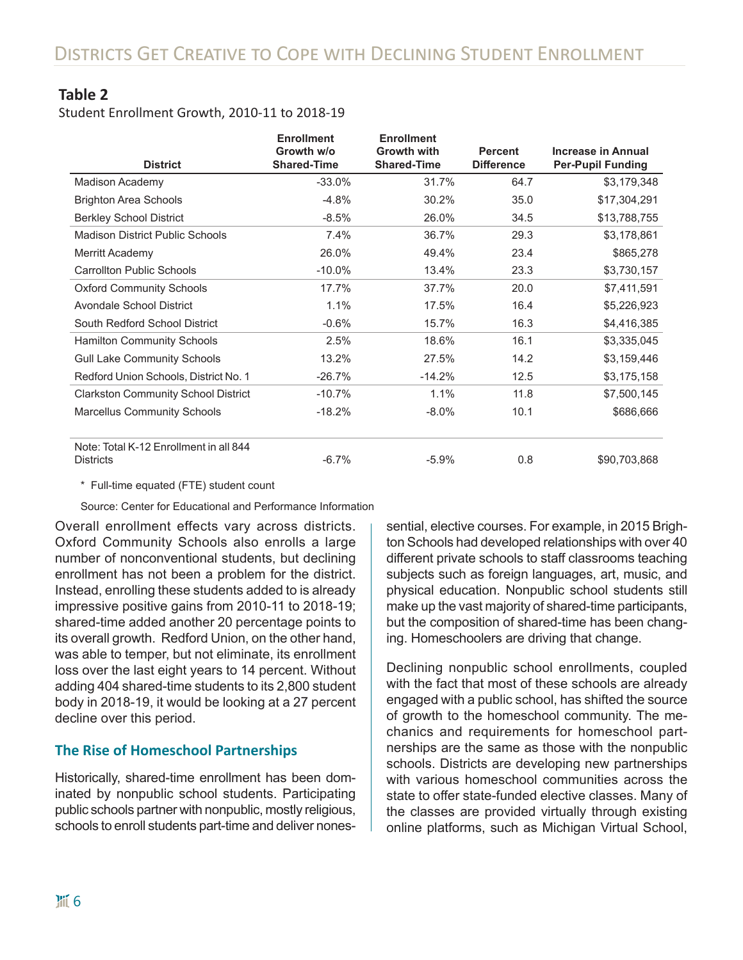#### **Table 2**

Student Enrollment Growth, 2010-11 to 2018-19

| <b>District</b>                                            | <b>Enrollment</b><br>Growth w/o<br><b>Shared-Time</b> | <b>Enrollment</b><br><b>Growth with</b><br><b>Shared-Time</b> | <b>Percent</b><br><b>Difference</b> | <b>Increase in Annual</b><br><b>Per-Pupil Funding</b> |
|------------------------------------------------------------|-------------------------------------------------------|---------------------------------------------------------------|-------------------------------------|-------------------------------------------------------|
| Madison Academy                                            | $-33.0%$                                              | 31.7%                                                         | 64.7                                | \$3,179,348                                           |
| <b>Brighton Area Schools</b>                               | $-4.8%$                                               | 30.2%                                                         | 35.0                                | \$17,304,291                                          |
| <b>Berkley School District</b>                             | $-8.5%$                                               | 26.0%                                                         | 34.5                                | \$13,788,755                                          |
| <b>Madison District Public Schools</b>                     | 7.4%                                                  | 36.7%                                                         | 29.3                                | \$3,178,861                                           |
| Merritt Academy                                            | 26.0%                                                 | 49.4%                                                         | 23.4                                | \$865,278                                             |
| <b>Carrollton Public Schools</b>                           | $-10.0\%$                                             | 13.4%                                                         | 23.3                                | \$3,730,157                                           |
| <b>Oxford Community Schools</b>                            | 17.7%                                                 | 37.7%                                                         | 20.0                                | \$7,411,591                                           |
| <b>Avondale School District</b>                            | 1.1%                                                  | 17.5%                                                         | 16.4                                | \$5,226,923                                           |
| South Redford School District                              | $-0.6%$                                               | 15.7%                                                         | 16.3                                | \$4,416,385                                           |
| <b>Hamilton Community Schools</b>                          | 2.5%                                                  | 18.6%                                                         | 16.1                                | \$3,335,045                                           |
| <b>Gull Lake Community Schools</b>                         | 13.2%                                                 | 27.5%                                                         | 14.2                                | \$3,159,446                                           |
| Redford Union Schools, District No. 1                      | $-26.7%$                                              | $-14.2%$                                                      | 12.5                                | \$3,175,158                                           |
| <b>Clarkston Community School District</b>                 | $-10.7%$                                              | 1.1%                                                          | 11.8                                | \$7,500,145                                           |
| <b>Marcellus Community Schools</b>                         | $-18.2%$                                              | $-8.0%$                                                       | 10.1                                | \$686,666                                             |
| Note: Total K-12 Enrollment in all 844<br><b>Districts</b> | $-6.7%$                                               | $-5.9%$                                                       | 0.8                                 | \$90,703,868                                          |

\* Full-time equated (FTE) student count

Source: Center for Educational and Performance Information

Overall enrollment effects vary across districts. Oxford Community Schools also enrolls a large number of nonconventional students, but declining enrollment has not been a problem for the district. Instead, enrolling these students added to is already impressive positive gains from 2010-11 to 2018-19; shared-time added another 20 percentage points to its overall growth. Redford Union, on the other hand, was able to temper, but not eliminate, its enrollment loss over the last eight years to 14 percent. Without adding 404 shared-time students to its 2,800 student body in 2018-19, it would be looking at a 27 percent decline over this period.

#### **The Rise of Homeschool Partnerships**

Historically, shared-time enrollment has been dominated by nonpublic school students. Participating public schools partner with nonpublic, mostly religious, schools to enroll students part-time and deliver nonessential, elective courses. For example, in 2015 Brighton Schools had developed relationships with over 40 different private schools to staff classrooms teaching subjects such as foreign languages, art, music, and physical education. Nonpublic school students still make up the vast majority of shared-time participants, but the composition of shared-time has been changing. Homeschoolers are driving that change.

Declining nonpublic school enrollments, coupled with the fact that most of these schools are already engaged with a public school, has shifted the source of growth to the homeschool community. The mechanics and requirements for homeschool partnerships are the same as those with the nonpublic schools. Districts are developing new partnerships with various homeschool communities across the state to offer state-funded elective classes. Many of the classes are provided virtually through existing online platforms, such as Michigan Virtual School,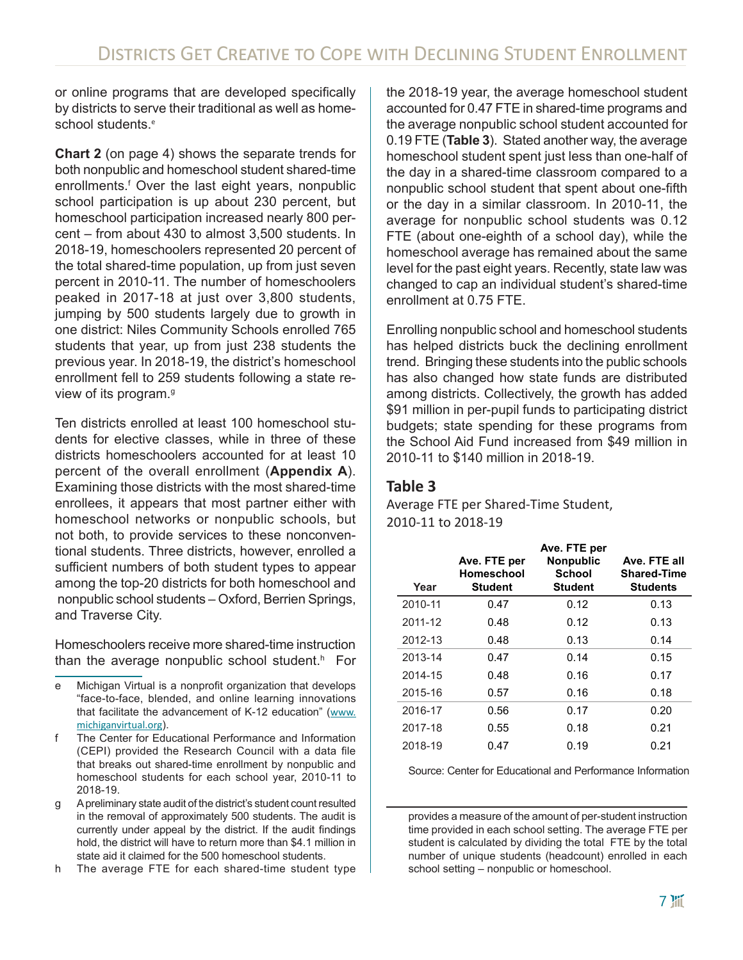or online programs that are developed specifically by districts to serve their traditional as well as homeschool students.<sup>e</sup>

**Chart 2** (on page 4) shows the separate trends for both nonpublic and homeschool student shared-time enrollments.<sup>f</sup> Over the last eight years, nonpublic school participation is up about 230 percent, but homeschool participation increased nearly 800 percent – from about 430 to almost 3,500 students. In 2018-19, homeschoolers represented 20 percent of the total shared-time population, up from just seven percent in 2010-11. The number of homeschoolers peaked in 2017-18 at just over 3,800 students, jumping by 500 students largely due to growth in one district: Niles Community Schools enrolled 765 students that year, up from just 238 students the previous year. In 2018-19, the district's homeschool enrollment fell to 259 students following a state review of its program.<sup>g</sup>

Ten districts enrolled at least 100 homeschool students for elective classes, while in three of these districts homeschoolers accounted for at least 10 percent of the overall enrollment (**Appendix A**). Examining those districts with the most shared-time enrollees, it appears that most partner either with homeschool networks or nonpublic schools, but not both, to provide services to these nonconventional students. Three districts, however, enrolled a sufficient numbers of both student types to appear among the top-20 districts for both homeschool and nonpublic school students – Oxford, Berrien Springs, and Traverse City.

Homeschoolers receive more shared-time instruction than the average nonpublic school student.<sup>h</sup> For

- e Michigan Virtual is a nonprofit organization that develops "face-to-face, blended, and online learning innovations that facilitate the advancement of K-12 education" ([www.](http://www.michiganvirtual.org) [michiganvirtual.org](http://www.michiganvirtual.org)).
- f The Center for Educational Performance and Information (CEPI) provided the Research Council with a data file that breaks out shared-time enrollment by nonpublic and homeschool students for each school year, 2010-11 to 2018-19.
- g A preliminary state audit of the district's student count resulted in the removal of approximately 500 students. The audit is currently under appeal by the district. If the audit findings hold, the district will have to return more than \$4.1 million in state aid it claimed for the 500 homeschool students.
- h The average FTE for each shared-time student type

the 2018-19 year, the average homeschool student accounted for 0.47 FTE in shared-time programs and the average nonpublic school student accounted for 0.19 FTE (**Table 3**). Stated another way, the average homeschool student spent just less than one-half of the day in a shared-time classroom compared to a nonpublic school student that spent about one-fifth or the day in a similar classroom. In 2010-11, the average for nonpublic school students was 0.12 FTE (about one-eighth of a school day), while the homeschool average has remained about the same level for the past eight years. Recently, state law was changed to cap an individual student's shared-time enrollment at 0.75 FTE.

Enrolling nonpublic school and homeschool students has helped districts buck the declining enrollment trend. Bringing these students into the public schools has also changed how state funds are distributed among districts. Collectively, the growth has added \$91 million in per-pupil funds to participating district budgets; state spending for these programs from the School Aid Fund increased from \$49 million in 2010-11 to \$140 million in 2018-19.

#### **Table 3**

Average FTE per Shared-Time Student, 2010-11 to 2018-19

| Year    | Ave. FTE per<br>Homeschool<br><b>Student</b> | Ave. FTE per<br><b>Nonpublic</b><br><b>School</b><br><b>Student</b> | Ave. FTE all<br><b>Shared-Time</b><br><b>Students</b> |
|---------|----------------------------------------------|---------------------------------------------------------------------|-------------------------------------------------------|
| 2010-11 | 0.47                                         | 0.12                                                                | 0.13                                                  |
| 2011-12 | 0.48                                         | 0.12                                                                | 0.13                                                  |
| 2012-13 | 0.48                                         | 0.13                                                                | 0.14                                                  |
| 2013-14 | 0.47                                         | 0.14                                                                | 0.15                                                  |
| 2014-15 | 0.48                                         | 0.16                                                                | 0.17                                                  |
| 2015-16 | 0.57                                         | 0.16                                                                | 0.18                                                  |
| 2016-17 | 0.56                                         | 0.17                                                                | 0.20                                                  |
| 2017-18 | 0.55                                         | 0.18                                                                | 0.21                                                  |
| 2018-19 | 0.47                                         | 0.19                                                                | 0.21                                                  |

Source: Center for Educational and Performance Information

provides a measure of the amount of per-student instruction time provided in each school setting. The average FTE per student is calculated by dividing the total FTE by the total number of unique students (headcount) enrolled in each school setting – nonpublic or homeschool.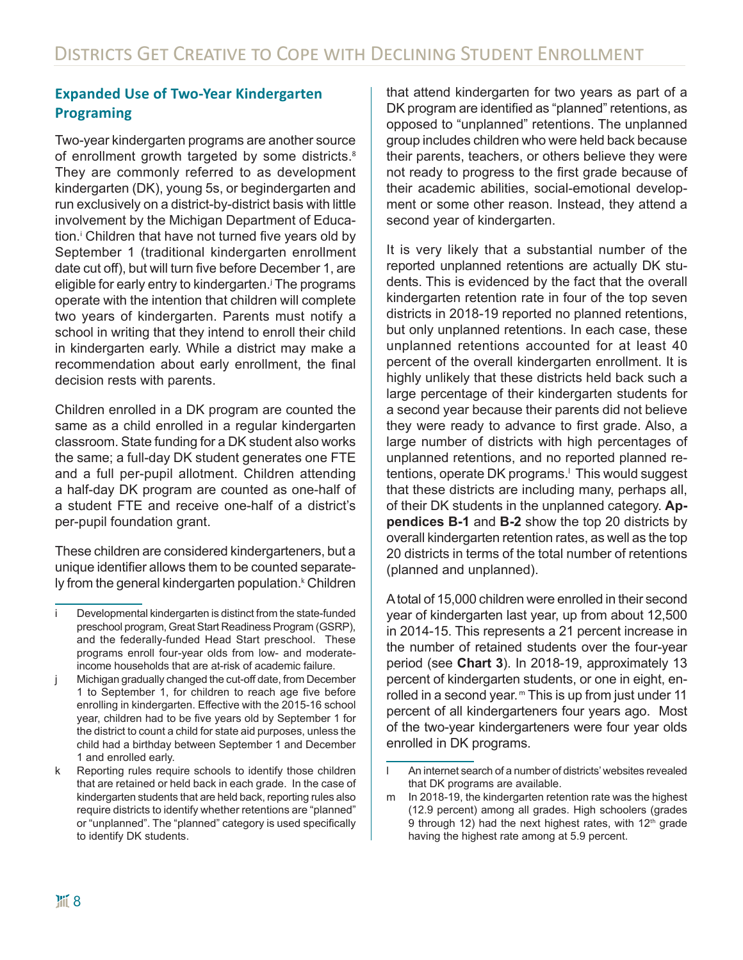#### **Expanded Use of Two-Year Kindergarten Programing**

Two-year kindergarten programs are another source of enrollment growth targeted by some districts.<sup>8</sup> They are commonly referred to as development kindergarten (DK), young 5s, or begindergarten and run exclusively on a district-by-district basis with little involvement by the Michigan Department of Education.<sup>i</sup> Children that have not turned five years old by September 1 (traditional kindergarten enrollment date cut off), but will turn five before December 1, are eligible for early entry to kindergarten.<sup>j</sup> The programs operate with the intention that children will complete two years of kindergarten. Parents must notify a school in writing that they intend to enroll their child in kindergarten early. While a district may make a recommendation about early enrollment, the final decision rests with parents.

Children enrolled in a DK program are counted the same as a child enrolled in a regular kindergarten classroom. State funding for a DK student also works the same; a full-day DK student generates one FTE and a full per-pupil allotment. Children attending a half-day DK program are counted as one-half of a student FTE and receive one-half of a district's per-pupil foundation grant.

These children are considered kindergarteners, but a unique identifier allows them to be counted separately from the general kindergarten population.<sup>k</sup> Children that attend kindergarten for two years as part of a DK program are identified as "planned" retentions, as opposed to "unplanned" retentions. The unplanned group includes children who were held back because their parents, teachers, or others believe they were not ready to progress to the first grade because of their academic abilities, social-emotional development or some other reason. Instead, they attend a second year of kindergarten.

It is very likely that a substantial number of the reported unplanned retentions are actually DK students. This is evidenced by the fact that the overall kindergarten retention rate in four of the top seven districts in 2018-19 reported no planned retentions, but only unplanned retentions. In each case, these unplanned retentions accounted for at least 40 percent of the overall kindergarten enrollment. It is highly unlikely that these districts held back such a large percentage of their kindergarten students for a second year because their parents did not believe they were ready to advance to first grade. Also, a large number of districts with high percentages of unplanned retentions, and no reported planned retentions, operate DK programs.<sup>⊦</sup> This would suggest that these districts are including many, perhaps all, of their DK students in the unplanned category. **Appendices B-1** and **B-2** show the top 20 districts by overall kindergarten retention rates, as well as the top 20 districts in terms of the total number of retentions (planned and unplanned).

A total of 15,000 children were enrolled in their second year of kindergarten last year, up from about 12,500 in 2014-15. This represents a 21 percent increase in the number of retained students over the four-year period (see **Chart 3**). In 2018-19, approximately 13 percent of kindergarten students, or one in eight, enrolled in a second year. <sup>m</sup> This is up from just under 11 percent of all kindergarteners four years ago. Most of the two-year kindergarteners were four year olds enrolled in DK programs.

Developmental kindergarten is distinct from the state-funded preschool program, Great Start Readiness Program (GSRP), and the federally-funded Head Start preschool. These programs enroll four-year olds from low- and moderateincome households that are at-risk of academic failure.

j Michigan gradually changed the cut-off date, from December 1 to September 1, for children to reach age five before enrolling in kindergarten. Effective with the 2015-16 school year, children had to be five years old by September 1 for the district to count a child for state aid purposes, unless the child had a birthday between September 1 and December 1 and enrolled early.

k Reporting rules require schools to identify those children that are retained or held back in each grade. In the case of kindergarten students that are held back, reporting rules also require districts to identify whether retentions are "planned" or "unplanned". The "planned" category is used specifically to identify DK students.

l An internet search of a number of districts' websites revealed that DK programs are available.

m In 2018-19, the kindergarten retention rate was the highest (12.9 percent) among all grades. High schoolers (grades 9 through 12) had the next highest rates, with 12<sup>th</sup> grade having the highest rate among at 5.9 percent.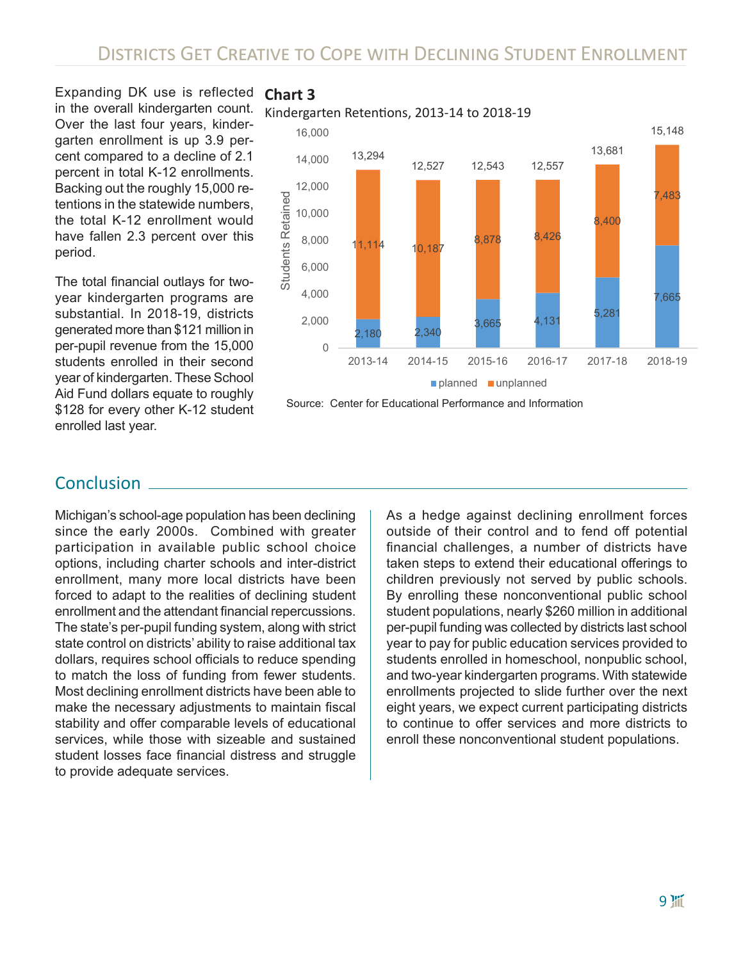Expanding DK use is reflected in the overall kindergarten count. Over the last four years, kindergarten enrollment is up 3.9 percent compared to a decline of 2.1 percent in total K-12 enrollments. Backing out the roughly 15,000 retentions in the statewide numbers, the total K-12 enrollment would have fallen 2.3 percent over this period.

The total financial outlays for twoyear kindergarten programs are substantial. In 2018-19, districts generated more than \$121 million in per-pupil revenue from the 15,000 students enrolled in their second year of kindergarten. These School Aid Fund dollars equate to roughly \$128 for every other K-12 student enrolled last year.

#### **Chart 3**

Kindergarten Retentions, 2013-14 to 2018-19



#### **Conclusion**

Michigan's school-age population has been declining since the early 2000s. Combined with greater participation in available public school choice options, including charter schools and inter-district enrollment, many more local districts have been forced to adapt to the realities of declining student enrollment and the attendant financial repercussions. The state's per-pupil funding system, along with strict state control on districts' ability to raise additional tax dollars, requires school officials to reduce spending to match the loss of funding from fewer students. Most declining enrollment districts have been able to make the necessary adjustments to maintain fiscal stability and offer comparable levels of educational services, while those with sizeable and sustained student losses face financial distress and struggle to provide adequate services.

As a hedge against declining enrollment forces outside of their control and to fend off potential financial challenges, a number of districts have taken steps to extend their educational offerings to children previously not served by public schools. By enrolling these nonconventional public school student populations, nearly \$260 million in additional per-pupil funding was collected by districts last school year to pay for public education services provided to students enrolled in homeschool, nonpublic school, and two-year kindergarten programs. With statewide enrollments projected to slide further over the next eight years, we expect current participating districts to continue to offer services and more districts to enroll these nonconventional student populations.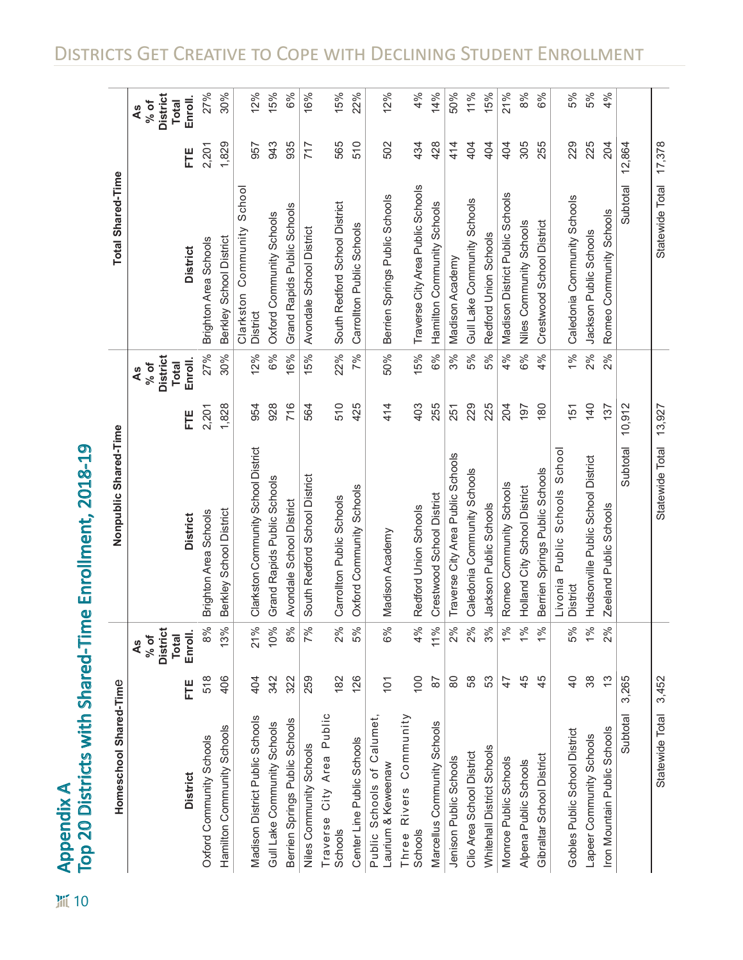$\frac{1}{2}$  10

# Appendix A<br>Top 20 Districts with Shared-Time Enrollment, 2018-19 Top 20 Districts with Shared-Time Enrollment, 2018-19Appendix A

| Homeschool Shared-Time                           |                |                                               | Nonpublic Shared-Time                              |        |                                                 | Total Shared-Time                         |        |                                                 |
|--------------------------------------------------|----------------|-----------------------------------------------|----------------------------------------------------|--------|-------------------------------------------------|-------------------------------------------|--------|-------------------------------------------------|
|                                                  |                | <b>District</b><br><b>Total</b><br>% of<br>4s |                                                    |        | <b>District</b><br><b>Total</b><br>$%$ of<br>4s |                                           |        | <b>District</b><br><b>Total</b><br>$%$ of<br>4s |
| <b>District</b>                                  | Ë              | Enroll.                                       | <b>District</b>                                    | Ë      | Enroll.                                         | <b>District</b>                           | Ë      | Enroll.                                         |
| Oxford Community Schools                         | 518            | 8%                                            | <b>Brighton Area Schools</b>                       | 2,201  | 27%                                             | <b>Brighton Area Schools</b>              | 2,201  | 27%                                             |
| Hamilton Community Schools                       | 406            | 13%                                           | Berkley School District                            | 1,828  | 30%                                             | Berkley School District                   | 1,829  | 30%                                             |
| Madison District Public Schools                  | 404            | 21%                                           | Clarkston Community School District                | 954    | 12%                                             | Community School<br>Clarkston<br>District | 957    | 12%                                             |
| Gull Lake Community Schools                      | 342            | 10%                                           | Grand Rapids Public Schools                        | 928    | 6%                                              | Oxford Community Schools                  | 943    | 15%                                             |
| Berrien Springs Public Schools                   | 322            | 8%                                            | Avondale School District                           | 716    | 16%                                             | Grand Rapids Public Schools               | 935    | 6%                                              |
| Niles Community Schools                          | 259            | 7%                                            | South Redford School District                      | 564    | 15%                                             | Avondale School District                  | 717    | 16%                                             |
| Public<br>City Area<br>Traverse<br>Schools       | 182            | 2%                                            | Carrollton Public Schools                          | 510    | 22%                                             | South Redford School District             | 565    | 15%                                             |
| Center Line Public Schools                       | 126            | 5%                                            | Oxford Community Schools                           | 425    | 7%                                              | Carrollton Public Schools                 | 510    | 22%                                             |
| Public Schools of Calumet,<br>Laurium & Keweenaw | 101            | 6%                                            | Madison Academy                                    | 414    | 50%                                             | Berrien Springs Public Schools            | 502    | 12%                                             |
| Rivers Community<br>Schools<br>Three             | 100            | 4%                                            | Redford Union Schools                              | 403    | 15%                                             | Traverse City Area Public Schools         | 434    | 4%                                              |
| Marcellus Community Schools                      | $\overline{8}$ | 11%                                           | Crestwood School District                          | 255    | 6%                                              | Hamilton Community Schools                | 428    | 14%                                             |
| Jenison Public Schools                           | 80             | 2%                                            | Traverse City Area Public Schools                  | 251    | 3%                                              | Madison Academy                           | 414    | 50%                                             |
| Clio Area School District                        | 58             | 2%                                            | Caledonia Community Schools                        | 229    | 5%                                              | Gull Lake Community Schools               | 404    | 11%                                             |
| Whitehall District Schools                       | 53             | 3%                                            | Jackson Public Schools                             | 225    | 5%                                              | Redford Union Schools                     | 404    | 15%                                             |
| Monroe Public Schools                            | 47             | 1%                                            | Romeo Community Schools                            | 204    | 4%                                              | Madison District Public Schools           | 404    | 21%                                             |
| Alpena Public Schools                            | 45             | 1%                                            | Holland City School District                       | 197    | 6%                                              | Niles Community Schools                   | 305    | 8%                                              |
| Gibraltar School District                        | 45             | 1%                                            | Berrien Springs Public Schools                     | 180    | 4%                                              | Crestwood School District                 | 255    | 6%                                              |
| Gobles Public School District                    | $\overline{4}$ | 5%                                            | School<br>Schools<br>Public<br>Livonia<br>District | 151    | 1%                                              | Caledonia Community Schools               | 229    | 5%                                              |
| Lapeer Community Schools                         | 38             | 1%                                            | Hudsonville Public School District                 | 140    | 2%                                              | Jackson Public Schools                    | 225    | 5%                                              |
| Iron Mountain Public Schools                     | $\frac{3}{2}$  | 2%                                            | Zeeland Public Schools                             | 137    | 2%                                              | Romeo Community Schools                   | 204    | 4%                                              |
| Subtotal                                         | 3,265          |                                               | Subtotal                                           | 10,912 |                                                 | Subtotal                                  | 12,864 |                                                 |
| Statewide Total                                  | 3,452          |                                               | Statewide<br>Total                                 | 13,927 |                                                 | Statewide<br>Total                        | 17,378 |                                                 |

Districts Get Creative to Cope with Declining Student Enrollment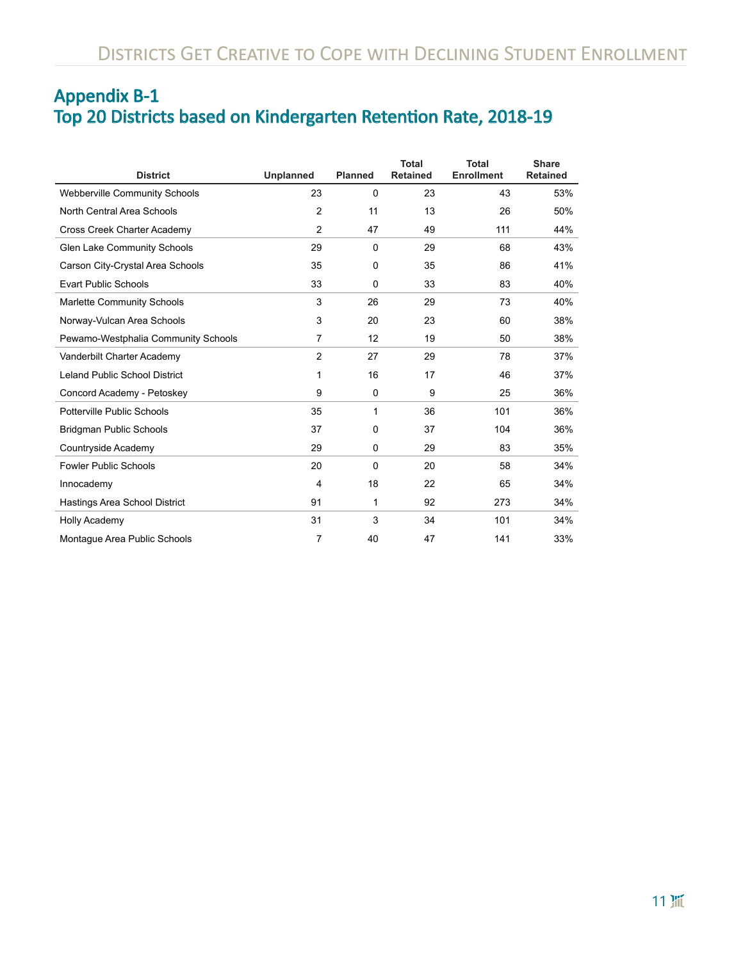# Appendix B-1 Top 20 Districts based on Kindergarten Retention Rate, 2018-19

| <b>District</b>                      | <b>Unplanned</b> | <b>Planned</b> | <b>Total</b><br><b>Retained</b> | <b>Total</b><br><b>Enrollment</b> | <b>Share</b><br><b>Retained</b> |
|--------------------------------------|------------------|----------------|---------------------------------|-----------------------------------|---------------------------------|
| <b>Webberville Community Schools</b> | 23               | 0              | 23                              | 43                                | 53%                             |
| North Central Area Schools           | $\overline{2}$   | 11             | 13                              | 26                                | 50%                             |
| Cross Creek Charter Academy          | $\overline{2}$   | 47             | 49                              | 111                               | 44%                             |
| Glen Lake Community Schools          | 29               | 0              | 29                              | 68                                | 43%                             |
| Carson City-Crystal Area Schools     | 35               | 0              | 35                              | 86                                | 41%                             |
| <b>Evart Public Schools</b>          | 33               | $\mathbf 0$    | 33                              | 83                                | 40%                             |
| <b>Marlette Community Schools</b>    | 3                | 26             | 29                              | 73                                | 40%                             |
| Norway-Vulcan Area Schools           | 3                | 20             | 23                              | 60                                | 38%                             |
| Pewamo-Westphalia Community Schools  | 7                | 12             | 19                              | 50                                | 38%                             |
| Vanderbilt Charter Academy           | $\overline{2}$   | 27             | 29                              | 78                                | 37%                             |
| <b>Leland Public School District</b> | 1                | 16             | 17                              | 46                                | 37%                             |
| Concord Academy - Petoskey           | 9                | $\mathbf 0$    | 9                               | 25                                | 36%                             |
| Potterville Public Schools           | 35               | 1              | 36                              | 101                               | 36%                             |
| <b>Bridgman Public Schools</b>       | 37               | 0              | 37                              | 104                               | 36%                             |
| Countryside Academy                  | 29               | $\mathbf 0$    | 29                              | 83                                | 35%                             |
| <b>Fowler Public Schools</b>         | 20               | $\Omega$       | 20                              | 58                                | 34%                             |
| Innocademy                           | 4                | 18             | 22                              | 65                                | 34%                             |
| Hastings Area School District        | 91               | 1              | 92                              | 273                               | 34%                             |
| <b>Holly Academy</b>                 | 31               | 3              | 34                              | 101                               | 34%                             |
| Montague Area Public Schools         | 7                | 40             | 47                              | 141                               | 33%                             |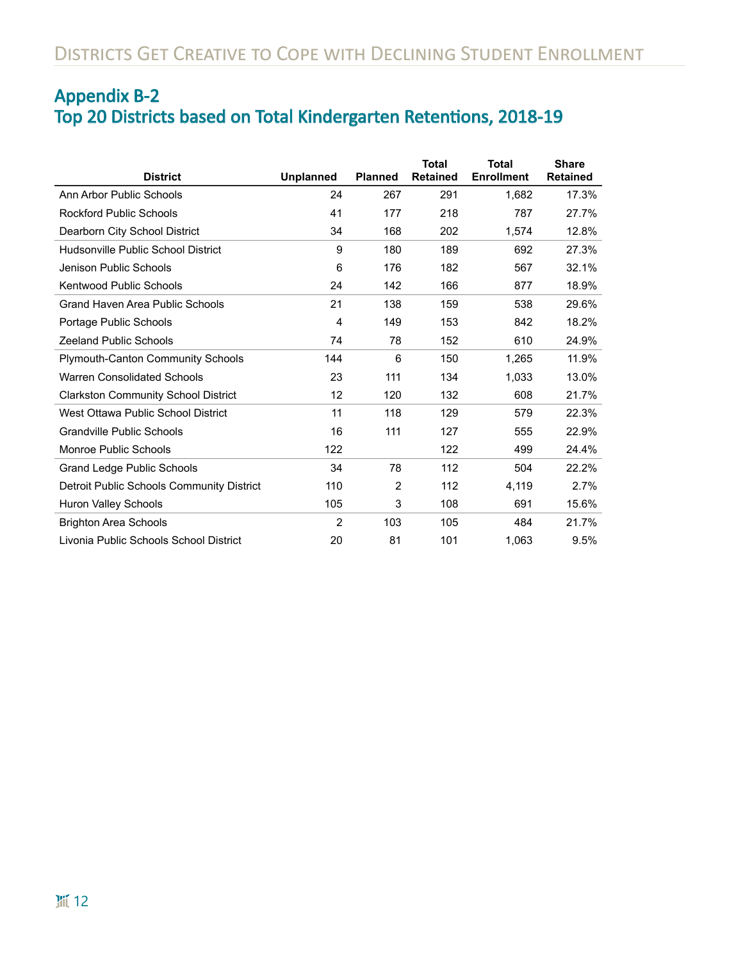# Appendix B-2 Top 20 Districts based on Total Kindergarten Retentions, 2018-19

| <b>District</b>                            | <b>Unplanned</b> | <b>Planned</b> | <b>Total</b><br><b>Retained</b> | <b>Total</b><br><b>Enrollment</b> | <b>Share</b><br><b>Retained</b> |
|--------------------------------------------|------------------|----------------|---------------------------------|-----------------------------------|---------------------------------|
| Ann Arbor Public Schools                   | 24               | 267            | 291                             | 1,682                             | 17.3%                           |
| <b>Rockford Public Schools</b>             | 41               | 177            | 218                             | 787                               | 27.7%                           |
| Dearborn City School District              | 34               | 168            | 202                             | 1,574                             | 12.8%                           |
| Hudsonville Public School District         | 9                | 180            | 189                             | 692                               | 27.3%                           |
| Jenison Public Schools                     | 6                | 176            | 182                             | 567                               | 32.1%                           |
| Kentwood Public Schools                    | 24               | 142            | 166                             | 877                               | 18.9%                           |
| Grand Haven Area Public Schools            | 21               | 138            | 159                             | 538                               | 29.6%                           |
| Portage Public Schools                     | $\overline{4}$   | 149            | 153                             | 842                               | 18.2%                           |
| <b>Zeeland Public Schools</b>              | 74               | 78             | 152                             | 610                               | 24.9%                           |
| <b>Plymouth-Canton Community Schools</b>   | 144              | 6              | 150                             | 1,265                             | 11.9%                           |
| <b>Warren Consolidated Schools</b>         | 23               | 111            | 134                             | 1,033                             | 13.0%                           |
| <b>Clarkston Community School District</b> | 12               | 120            | 132                             | 608                               | 21.7%                           |
| West Ottawa Public School District         | 11               | 118            | 129                             | 579                               | 22.3%                           |
| <b>Grandville Public Schools</b>           | 16               | 111            | 127                             | 555                               | 22.9%                           |
| Monroe Public Schools                      | 122              |                | 122                             | 499                               | 24.4%                           |
| <b>Grand Ledge Public Schools</b>          | 34               | 78             | 112                             | 504                               | 22.2%                           |
| Detroit Public Schools Community District  | 110              | $\overline{2}$ | 112                             | 4,119                             | 2.7%                            |
| Huron Valley Schools                       | 105              | 3              | 108                             | 691                               | 15.6%                           |
| <b>Brighton Area Schools</b>               | $\overline{2}$   | 103            | 105                             | 484                               | 21.7%                           |
| Livonia Public Schools School District     | 20               | 81             | 101                             | 1,063                             | 9.5%                            |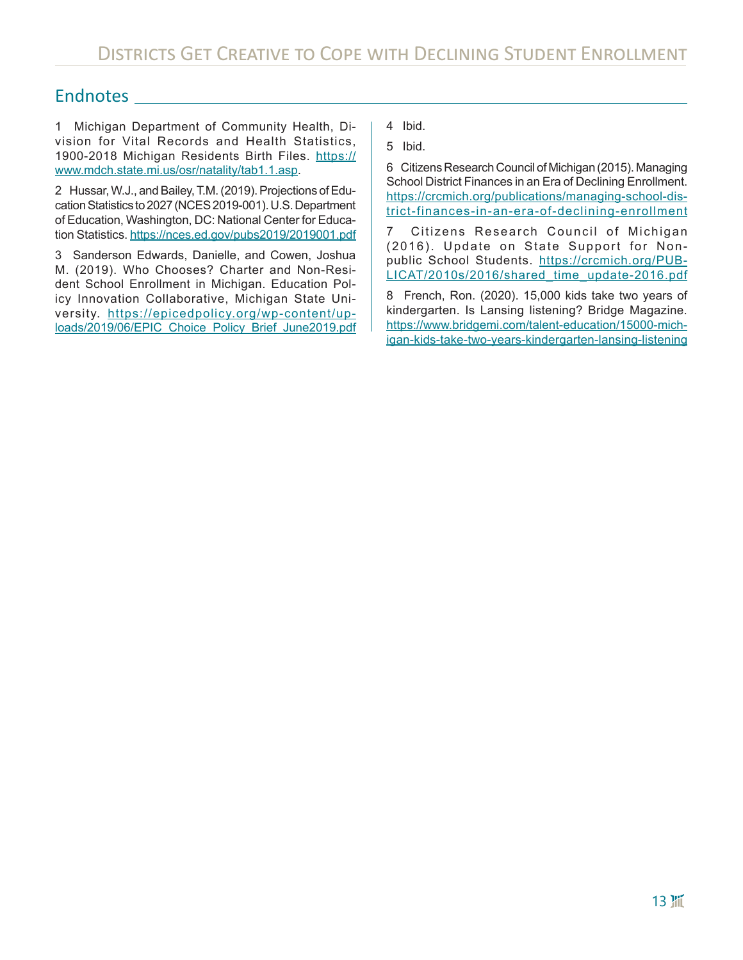### Endnotes

1 Michigan Department of Community Health, Division for Vital Records and Health Statistics, 1900-2018 Michigan Residents Birth Files. [https://](https://www.mdch.state.mi.us/osr/natality/tab1.1.asp) [www.mdch.state.mi.us/osr/natality/tab1.1.asp](https://www.mdch.state.mi.us/osr/natality/tab1.1.asp).

2 Hussar, W.J., and Bailey, T.M. (2019). Projections of Education Statistics to 2027 (NCES 2019-001). U.S. Department of Education, Washington, DC: National Center for Education Statistics.<https://nces.ed.gov/pubs2019/2019001.pdf>

3 Sanderson Edwards, Danielle, and Cowen, Joshua M. (2019). Who Chooses? Charter and Non-Resident School Enrollment in Michigan. Education Policy Innovation Collaborative, Michigan State University. [https://epicedpolicy.org/wp-content/up](https://epicedpolicy.org/wp-content/uploads/2019/06/EPIC_Choice_Policy_Brief_June2019.pdf)[loads/2019/06/EPIC\\_Choice\\_Policy\\_Brief\\_June2019.pdf](https://epicedpolicy.org/wp-content/uploads/2019/06/EPIC_Choice_Policy_Brief_June2019.pdf)

- 4 Ibid.
- 5 Ibid.

6 Citizens Research Council of Michigan (2015). Managing School District Finances in an Era of Declining Enrollment. [https://crcmich.org/publications/managing-school-dis](https://crcmich.org/publications/managing-school-district-finances-in-an-era-of-declining-enrollment)[trict-finances-in-an-era-of-declining-enrollment](https://crcmich.org/publications/managing-school-district-finances-in-an-era-of-declining-enrollment)

7 Citizens Research Council of Michigan (2016). Update on State Support for Nonpublic School Students. [https://crcmich.org/PUB](https://crcmich.org/PUBLICAT/2010s/2016/shared_time_update-2016.pdf)-[LICAT/2010s/2016/shared\\_time\\_update-2016.pdf](https://crcmich.org/PUBLICAT/2010s/2016/shared_time_update-2016.pdf)

8 French, Ron. (2020). 15,000 kids take two years of kindergarten. Is Lansing listening? Bridge Magazine. [https://www.bridgemi.com/talent-education/15000-mich](https://www.bridgemi.com/talent-education/15000-michigan-kids-take-two-years-kindergarten-lansing-listening)[igan-kids-take-two-years-kindergarten-lansing-listening](https://www.bridgemi.com/talent-education/15000-michigan-kids-take-two-years-kindergarten-lansing-listening)